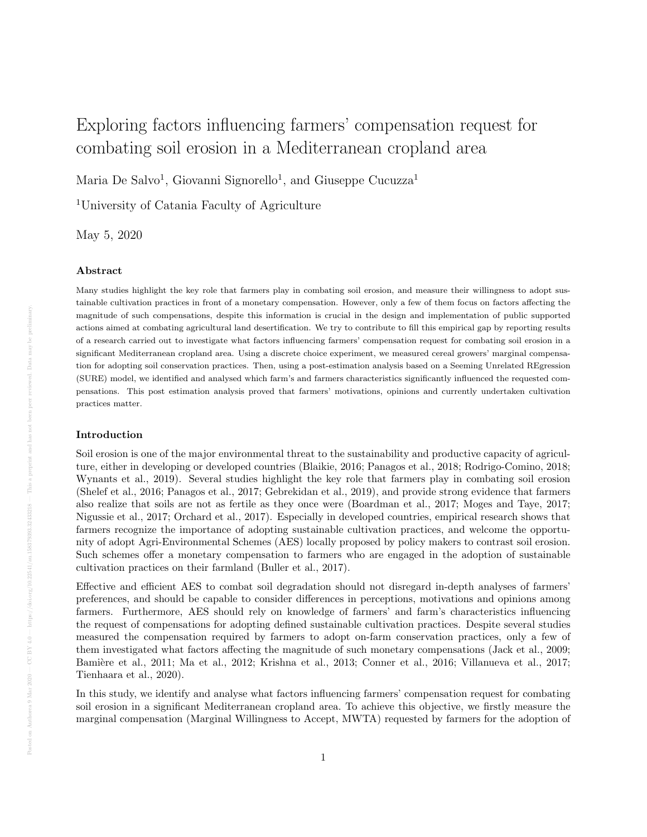# Exploring factors influencing farmers' compensation request for combating soil erosion in a Mediterranean cropland area

Maria De Salvo<sup>1</sup>, Giovanni Signorello<sup>1</sup>, and Giuseppe Cucuzza<sup>1</sup>

<sup>1</sup>University of Catania Faculty of Agriculture

May 5, 2020

#### Abstract

Many studies highlight the key role that farmers play in combating soil erosion, and measure their willingness to adopt sustainable cultivation practices in front of a monetary compensation. However, only a few of them focus on factors affecting the magnitude of such compensations, despite this information is crucial in the design and implementation of public supported actions aimed at combating agricultural land desertification. We try to contribute to fill this empirical gap by reporting results of a research carried out to investigate what factors influencing farmers' compensation request for combating soil erosion in a significant Mediterranean cropland area. Using a discrete choice experiment, we measured cereal growers' marginal compensation for adopting soil conservation practices. Then, using a post-estimation analysis based on a Seeming Unrelated REgression (SURE) model, we identified and analysed which farm's and farmers characteristics significantly influenced the requested compensations. This post estimation analysis proved that farmers' motivations, opinions and currently undertaken cultivation practices matter.

#### Introduction

Soil erosion is one of the major environmental threat to the sustainability and productive capacity of agriculture, either in developing or developed countries (Blaikie, 2016; Panagos et al., 2018; Rodrigo-Comino, 2018; Wynants et al., 2019). Several studies highlight the key role that farmers play in combating soil erosion (Shelef et al., 2016; Panagos et al., 2017; Gebrekidan et al., 2019), and provide strong evidence that farmers also realize that soils are not as fertile as they once were (Boardman et al., 2017; Moges and Taye, 2017; Nigussie et al., 2017; Orchard et al., 2017). Especially in developed countries, empirical research shows that farmers recognize the importance of adopting sustainable cultivation practices, and welcome the opportunity of adopt Agri-Environmental Schemes (AES) locally proposed by policy makers to contrast soil erosion. Such schemes offer a monetary compensation to farmers who are engaged in the adoption of sustainable cultivation practices on their farmland (Buller et al., 2017).

Effective and efficient AES to combat soil degradation should not disregard in-depth analyses of farmers' preferences, and should be capable to consider differences in perceptions, motivations and opinions among farmers. Furthermore, AES should rely on knowledge of farmers' and farm's characteristics influencing the request of compensations for adopting defined sustainable cultivation practices. Despite several studies measured the compensation required by farmers to adopt on-farm conservation practices, only a few of them investigated what factors affecting the magnitude of such monetary compensations (Jack et al., 2009; Bamière et al., 2011; Ma et al., 2012; Krishna et al., 2013; Conner et al., 2016; Villanueva et al., 2017; Tienhaara et al., 2020).

In this study, we identify and analyse what factors influencing farmers' compensation request for combating soil erosion in a significant Mediterranean cropland area. To achieve this objective, we firstly measure the marginal compensation (Marginal Willingness to Accept, MWTA) requested by farmers for the adoption of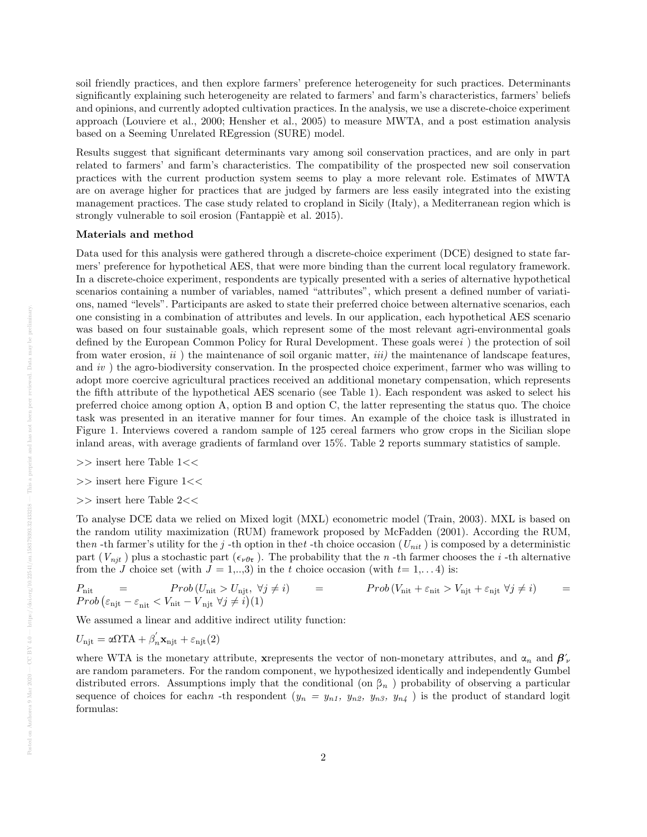soil friendly practices, and then explore farmers' preference heterogeneity for such practices. Determinants significantly explaining such heterogeneity are related to farmers' and farm's characteristics, farmers' beliefs and opinions, and currently adopted cultivation practices. In the analysis, we use a discrete-choice experiment approach (Louviere et al., 2000; Hensher et al., 2005) to measure MWTA, and a post estimation analysis based on a Seeming Unrelated REgression (SURE) model.

Results suggest that significant determinants vary among soil conservation practices, and are only in part related to farmers' and farm's characteristics. The compatibility of the prospected new soil conservation practices with the current production system seems to play a more relevant role. Estimates of MWTA are on average higher for practices that are judged by farmers are less easily integrated into the existing management practices. The case study related to cropland in Sicily (Italy), a Mediterranean region which is strongly vulnerable to soil erosion (Fantappiè et al. 2015).

#### Materials and method

Data used for this analysis were gathered through a discrete-choice experiment (DCE) designed to state farmers' preference for hypothetical AES, that were more binding than the current local regulatory framework. In a discrete-choice experiment, respondents are typically presented with a series of alternative hypothetical scenarios containing a number of variables, named "attributes", which present a defined number of variations, named "levels". Participants are asked to state their preferred choice between alternative scenarios, each one consisting in a combination of attributes and levels. In our application, each hypothetical AES scenario was based on four sustainable goals, which represent some of the most relevant agri-environmental goals defined by the European Common Policy for Rural Development. These goals werei ) the protection of soil from water erosion,  $ii$ ) the maintenance of soil organic matter,  $iii$ ) the maintenance of landscape features, and iv) the agro-biodiversity conservation. In the prospected choice experiment, farmer who was willing to adopt more coercive agricultural practices received an additional monetary compensation, which represents the fifth attribute of the hypothetical AES scenario (see Table 1). Each respondent was asked to select his preferred choice among option A, option B and option C, the latter representing the status quo. The choice task was presented in an iterative manner for four times. An example of the choice task is illustrated in Figure 1. Interviews covered a random sample of 125 cereal farmers who grow crops in the Sicilian slope inland areas, with average gradients of farmland over 15%. Table 2 reports summary statistics of sample.

- >> insert here Table 1<<
- >> insert here Figure 1<<
- $>>$  insert here Table 2 $<<$

To analyse DCE data we relied on Mixed logit (MXL) econometric model (Train, 2003). MXL is based on the random utility maximization (RUM) framework proposed by McFadden (2001). According the RUM, then -th farmer's utility for the j -th option in thet -th choice occasion ( $U_{nit}$ ) is composed by a deterministic part  $(V_{njt})$  plus a stochastic part  $(\epsilon_{\nu \theta \tau})$ . The probability that the n-th farmer chooses the i-th alternative from the J choice set (with  $J = 1,...,3$ ) in the t choice occasion (with  $t= 1,..., 4$ ) is:

$$
P_{\text{nit}} = Prob (U_{\text{nit}} > U_{\text{njt}}, \forall j \neq i) = Prob (V_{\text{nit}} + \varepsilon_{\text{nit}} > V_{\text{njt}} + \varepsilon_{\text{njt}} \forall j \neq i) =
$$
  
\n
$$
Prob (\varepsilon_{\text{njt}} - \varepsilon_{\text{nit}} < V_{\text{nit}} + V_{\text{njt}} \forall j \neq i) (1)
$$

We assumed a linear and additive indirect utility function:

$$
U_{\rm njt} = \alpha \Omega T A + \beta^{'}_{n} \mathbf{x}_{\rm njt} + \varepsilon_{\rm njt}(2)
$$

where WTA is the monetary attribute, xrepresents the vector of non-monetary attributes, and  $\alpha_n$  and  $\beta'_\nu$ are random parameters. For the random component, we hypothesized identically and independently Gumbel distributed errors. Assumptions imply that the conditional (on  $\beta_n$ ) probability of observing a particular sequence of choices for each  $n$  -th respondent  $(y_n = y_{n1}, y_{n2}, y_{n3}, y_{n4})$  is the product of standard logit formulas: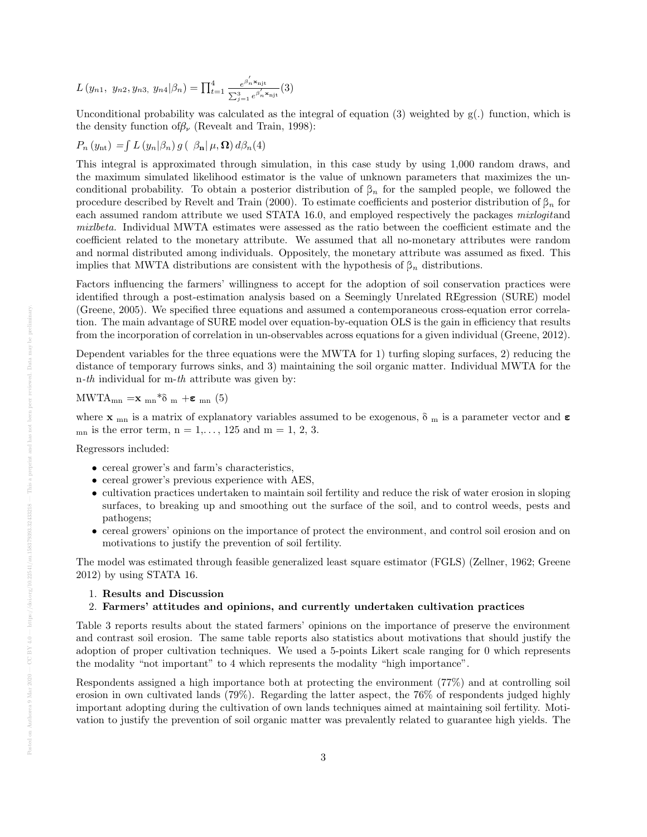$$
L(y_{n1}, y_{n2}, y_{n3}, y_{n4}|\beta_n) = \prod_{t=1}^4 \frac{e^{\beta_n^t \mathbf{x}_{njt}}}{\sum_{j=1}^3 e^{\beta_n^t \mathbf{x}_{njt}}} (3)
$$

Unconditional probability was calculated as the integral of equation (3) weighted by  $g(.)$  function, which is the density function of  $\beta_{\nu}$  (Revealt and Train, 1998):

$$
P_n(y_{\rm nt}) = \int L(y_n|\beta_n) g\left(\beta_{\rm n}|\mu, \Omega\right) d\beta_n(4)
$$

This integral is approximated through simulation, in this case study by using 1,000 random draws, and the maximum simulated likelihood estimator is the value of unknown parameters that maximizes the unconditional probability. To obtain a posterior distribution of  $\beta_n$  for the sampled people, we followed the procedure described by Revelt and Train (2000). To estimate coefficients and posterior distribution of  $\beta_n$  for each assumed random attribute we used STATA 16.0, and employed respectively the packages mixlogitand mixlbeta. Individual MWTA estimates were assessed as the ratio between the coefficient estimate and the coefficient related to the monetary attribute. We assumed that all no-monetary attributes were random and normal distributed among individuals. Oppositely, the monetary attribute was assumed as fixed. This implies that MWTA distributions are consistent with the hypothesis of  $\beta_n$  distributions.

Factors influencing the farmers' willingness to accept for the adoption of soil conservation practices were identified through a post-estimation analysis based on a Seemingly Unrelated REgression (SURE) model (Greene, 2005). We specified three equations and assumed a contemporaneous cross-equation error correlation. The main advantage of SURE model over equation-by-equation OLS is the gain in efficiency that results from the incorporation of correlation in un-observables across equations for a given individual (Greene, 2012).

Dependent variables for the three equations were the MWTA for 1) turfing sloping surfaces, 2) reducing the distance of temporary furrows sinks, and 3) maintaining the soil organic matter. Individual MWTA for the n-th individual for m-th attribute was given by:

$$
MWTA_{mn} = \mathbf{x}_{mn} * \delta_m + \epsilon_{mn} (5)
$$

where  $x_{mn}$  is a matrix of explanatory variables assumed to be exogenous,  $\delta_m$  is a parameter vector and  $\varepsilon$  $_{\text{mn}}$  is the error term,  $n = 1, \ldots, 125$  and  $m = 1, 2, 3$ .

Regressors included:

- cereal grower's and farm's characteristics,
- cereal grower's previous experience with AES,
- cultivation practices undertaken to maintain soil fertility and reduce the risk of water erosion in sloping surfaces, to breaking up and smoothing out the surface of the soil, and to control weeds, pests and pathogens;
- cereal growers' opinions on the importance of protect the environment, and control soil erosion and on motivations to justify the prevention of soil fertility.

The model was estimated through feasible generalized least square estimator (FGLS) (Zellner, 1962; Greene 2012) by using STATA 16.

- 1. Results and Discussion
- 2. Farmers' attitudes and opinions, and currently undertaken cultivation practices

Table 3 reports results about the stated farmers' opinions on the importance of preserve the environment and contrast soil erosion. The same table reports also statistics about motivations that should justify the adoption of proper cultivation techniques. We used a 5-points Likert scale ranging for 0 which represents the modality "not important" to 4 which represents the modality "high importance".

Respondents assigned a high importance both at protecting the environment (77%) and at controlling soil erosion in own cultivated lands (79%). Regarding the latter aspect, the 76% of respondents judged highly important adopting during the cultivation of own lands techniques aimed at maintaining soil fertility. Motivation to justify the prevention of soil organic matter was prevalently related to guarantee high yields. The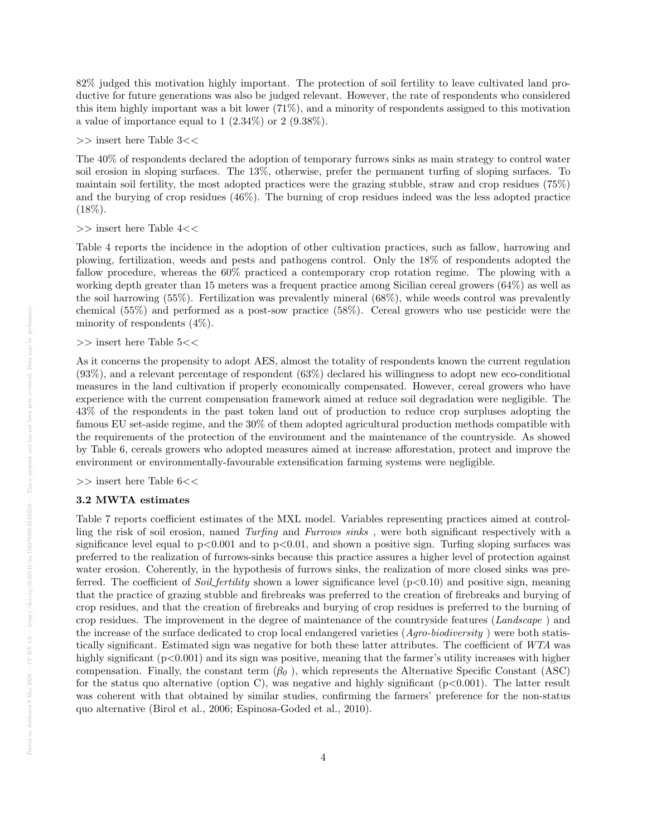82% judged this motivation highly important. The protection of soil fertility to leave cultivated land productive for future generations was also be judged relevant. However, the rate of respondents who considered this item highly important was a bit lower (71%), and a minority of respondents assigned to this motivation a value of importance equal to  $1$   $(2.34\%)$  or  $2$   $(9.38\%).$ 

 $>>$  insert here Table  $3<<$ 

The 40% of respondents declared the adoption of temporary furrows sinks as main strategy to control water soil erosion in sloping surfaces. The 13%, otherwise, prefer the permanent turfing of sloping surfaces. To maintain soil fertility, the most adopted practices were the grazing stubble, straw and crop residues (75%) and the burying of crop residues (46%). The burning of crop residues indeed was the less adopted practice  $(18\%).$ 

>> insert here Table 4<<

Table 4 reports the incidence in the adoption of other cultivation practices, such as fallow, harrowing and plowing, fertilization, weeds and pests and pathogens control. Only the 18% of respondents adopted the fallow procedure, whereas the 60% practiced a contemporary crop rotation regime. The plowing with a working depth greater than 15 meters was a frequent practice among Sicilian cereal growers (64%) as well as the soil harrowing (55%). Fertilization was prevalently mineral (68%), while weeds control was prevalently chemical (55%) and performed as a post-sow practice (58%). Cereal growers who use pesticide were the minority of respondents (4%).

 $>>$  insert here Table 5<<

As it concerns the propensity to adopt AES, almost the totality of respondents known the current regulation (93%), and a relevant percentage of respondent (63%) declared his willingness to adopt new eco-conditional measures in the land cultivation if properly economically compensated. However, cereal growers who have experience with the current compensation framework aimed at reduce soil degradation were negligible. The 43% of the respondents in the past token land out of production to reduce crop surpluses adopting the famous EU set-aside regime, and the 30% of them adopted agricultural production methods compatible with the requirements of the protection of the environment and the maintenance of the countryside. As showed by Table 6, cereals growers who adopted measures aimed at increase afforestation, protect and improve the environment or environmentally-favourable extensification farming systems were negligible.

 $>>$  insert here Table  $6<<$ 

#### 3.2 MWTA estimates

Table 7 reports coefficient estimates of the MXL model. Variables representing practices aimed at controlling the risk of soil erosion, named Turfing and Furrows sinks , were both significant respectively with a significance level equal to  $p<0.001$  and to  $p<0.01$ , and shown a positive sign. Turfing sloping surfaces was preferred to the realization of furrows-sinks because this practice assures a higher level of protection against water erosion. Coherently, in the hypothesis of furrows sinks, the realization of more closed sinks was preferred. The coefficient of *Soil fertility* shown a lower significance level  $(p<0.10)$  and positive sign, meaning that the practice of grazing stubble and firebreaks was preferred to the creation of firebreaks and burying of crop residues, and that the creation of firebreaks and burying of crop residues is preferred to the burning of crop residues. The improvement in the degree of maintenance of the countryside features (Landscape ) and the increase of the surface dedicated to crop local endangered varieties (Agro-biodiversity) were both statistically significant. Estimated sign was negative for both these latter attributes. The coefficient of WTA was highly significant (p<0.001) and its sign was positive, meaning that the farmer's utility increases with higher compensation. Finally, the constant term  $(\beta_0)$ , which represents the Alternative Specific Constant (ASC) for the status quo alternative (option C), was negative and highly significant  $(p<0.001)$ . The latter result was coherent with that obtained by similar studies, confirming the farmers' preference for the non-status quo alternative (Birol et al., 2006; Espinosa-Goded et al., 2010).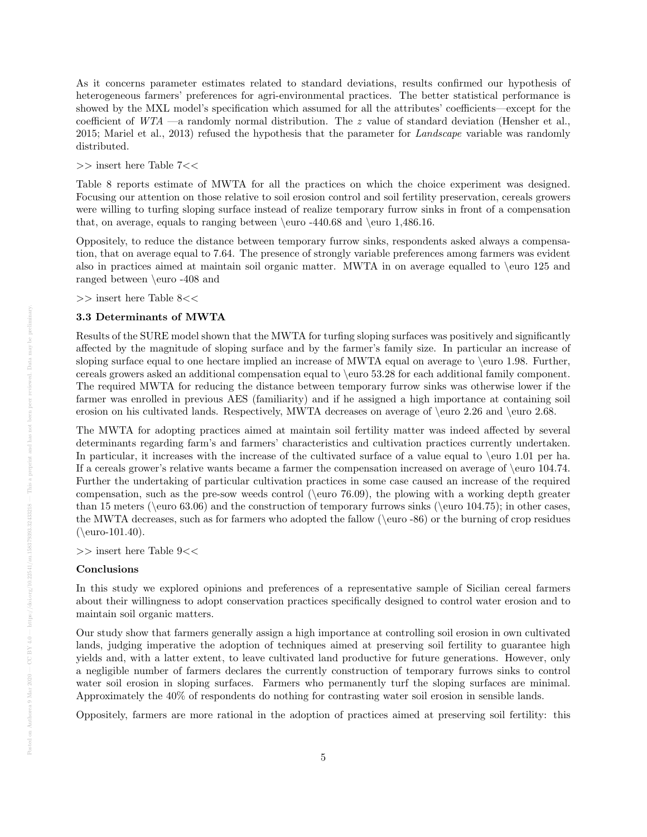As it concerns parameter estimates related to standard deviations, results confirmed our hypothesis of heterogeneous farmers' preferences for agri-environmental practices. The better statistical performance is showed by the MXL model's specification which assumed for all the attributes' coefficients—except for the coefficient of  $WTA$  —a randomly normal distribution. The z value of standard deviation (Hensher et al., 2015; Mariel et al., 2013) refused the hypothesis that the parameter for Landscape variable was randomly distributed.

>> insert here Table 7<<

Table 8 reports estimate of MWTA for all the practices on which the choice experiment was designed. Focusing our attention on those relative to soil erosion control and soil fertility preservation, cereals growers were willing to turfing sloping surface instead of realize temporary furrow sinks in front of a compensation that, on average, equals to ranging between \euro -440.68 and \euro 1,486.16.

Oppositely, to reduce the distance between temporary furrow sinks, respondents asked always a compensation, that on average equal to 7.64. The presence of strongly variable preferences among farmers was evident also in practices aimed at maintain soil organic matter. MWTA in on average equalled to \euro 125 and ranged between \euro -408 and

>> insert here Table 8<<

#### 3.3 Determinants of MWTA

Results of the SURE model shown that the MWTA for turfing sloping surfaces was positively and significantly affected by the magnitude of sloping surface and by the farmer's family size. In particular an increase of sloping surface equal to one hectare implied an increase of MWTA equal on average to \euro 1.98. Further, cereals growers asked an additional compensation equal to \euro 53.28 for each additional family component. The required MWTA for reducing the distance between temporary furrow sinks was otherwise lower if the farmer was enrolled in previous AES (familiarity) and if he assigned a high importance at containing soil erosion on his cultivated lands. Respectively, MWTA decreases on average of \euro 2.26 and \euro 2.68.

The MWTA for adopting practices aimed at maintain soil fertility matter was indeed affected by several determinants regarding farm's and farmers' characteristics and cultivation practices currently undertaken. In particular, it increases with the increase of the cultivated surface of a value equal to \euro 1.01 per ha. If a cereals grower's relative wants became a farmer the compensation increased on average of \euro 104.74. Further the undertaking of particular cultivation practices in some case caused an increase of the required compensation, such as the pre-sow weeds control ( $\leq 76.09$ ), the plowing with a working depth greater than 15 meters ( $\equiv 63.06$ ) and the construction of temporary furrows sinks ( $\equiv 104.75$ ); in other cases, the MWTA decreases, such as for farmers who adopted the fallow (\euro -86) or the burning of crop residues  $(\text{euro-101.40}).$ 

>> insert here Table 9<<

### Conclusions

In this study we explored opinions and preferences of a representative sample of Sicilian cereal farmers about their willingness to adopt conservation practices specifically designed to control water erosion and to maintain soil organic matters.

Our study show that farmers generally assign a high importance at controlling soil erosion in own cultivated lands, judging imperative the adoption of techniques aimed at preserving soil fertility to guarantee high yields and, with a latter extent, to leave cultivated land productive for future generations. However, only a negligible number of farmers declares the currently construction of temporary furrows sinks to control water soil erosion in sloping surfaces. Farmers who permanently turf the sloping surfaces are minimal. Approximately the 40% of respondents do nothing for contrasting water soil erosion in sensible lands.

Oppositely, farmers are more rational in the adoption of practices aimed at preserving soil fertility: this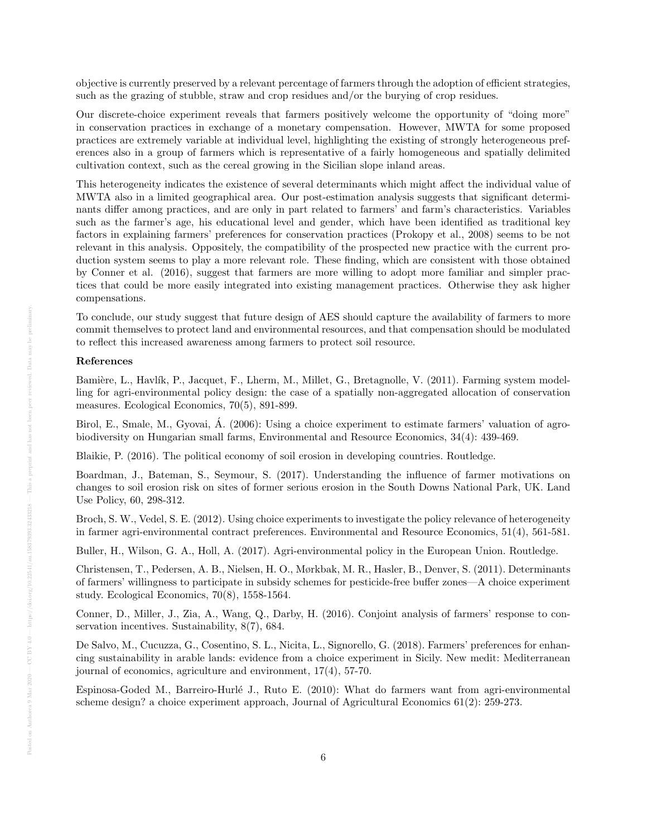objective is currently preserved by a relevant percentage of farmers through the adoption of efficient strategies, such as the grazing of stubble, straw and crop residues and/or the burying of crop residues.

Our discrete-choice experiment reveals that farmers positively welcome the opportunity of "doing more" in conservation practices in exchange of a monetary compensation. However, MWTA for some proposed practices are extremely variable at individual level, highlighting the existing of strongly heterogeneous preferences also in a group of farmers which is representative of a fairly homogeneous and spatially delimited cultivation context, such as the cereal growing in the Sicilian slope inland areas.

This heterogeneity indicates the existence of several determinants which might affect the individual value of MWTA also in a limited geographical area. Our post-estimation analysis suggests that significant determinants differ among practices, and are only in part related to farmers' and farm's characteristics. Variables such as the farmer's age, his educational level and gender, which have been identified as traditional key factors in explaining farmers' preferences for conservation practices (Prokopy et al., 2008) seems to be not relevant in this analysis. Oppositely, the compatibility of the prospected new practice with the current production system seems to play a more relevant role. These finding, which are consistent with those obtained by Conner et al. (2016), suggest that farmers are more willing to adopt more familiar and simpler practices that could be more easily integrated into existing management practices. Otherwise they ask higher compensations.

To conclude, our study suggest that future design of AES should capture the availability of farmers to more commit themselves to protect land and environmental resources, and that compensation should be modulated to reflect this increased awareness among farmers to protect soil resource.

#### References

Bamière, L., Havlík, P., Jacquet, F., Lherm, M., Millet, G., Bretagnolle, V. (2011). Farming system modelling for agri-environmental policy design: the case of a spatially non-aggregated allocation of conservation measures. Ecological Economics, 70(5), 891-899.

Birol, E., Smale, M., Gyovai, Á. (2006): Using a choice experiment to estimate farmers' valuation of agrobiodiversity on Hungarian small farms, Environmental and Resource Economics, 34(4): 439-469.

Blaikie, P. (2016). The political economy of soil erosion in developing countries. Routledge.

Boardman, J., Bateman, S., Seymour, S. (2017). Understanding the influence of farmer motivations on changes to soil erosion risk on sites of former serious erosion in the South Downs National Park, UK. Land Use Policy, 60, 298-312.

Broch, S. W., Vedel, S. E. (2012). Using choice experiments to investigate the policy relevance of heterogeneity in farmer agri-environmental contract preferences. Environmental and Resource Economics, 51(4), 561-581.

Buller, H., Wilson, G. A., Holl, A. (2017). Agri-environmental policy in the European Union. Routledge.

Christensen, T., Pedersen, A. B., Nielsen, H. O., Mørkbak, M. R., Hasler, B., Denver, S. (2011). Determinants of farmers' willingness to participate in subsidy schemes for pesticide-free buffer zones—A choice experiment study. Ecological Economics, 70(8), 1558-1564.

Conner, D., Miller, J., Zia, A., Wang, Q., Darby, H. (2016). Conjoint analysis of farmers' response to conservation incentives. Sustainability, 8(7), 684.

De Salvo, M., Cucuzza, G., Cosentino, S. L., Nicita, L., Signorello, G. (2018). Farmers' preferences for enhancing sustainability in arable lands: evidence from a choice experiment in Sicily. New medit: Mediterranean journal of economics, agriculture and environment, 17(4), 57-70.

Espinosa-Goded M., Barreiro-Hurlé J., Ruto E. (2010): What do farmers want from agri-environmental scheme design? a choice experiment approach, Journal of Agricultural Economics 61(2): 259-273.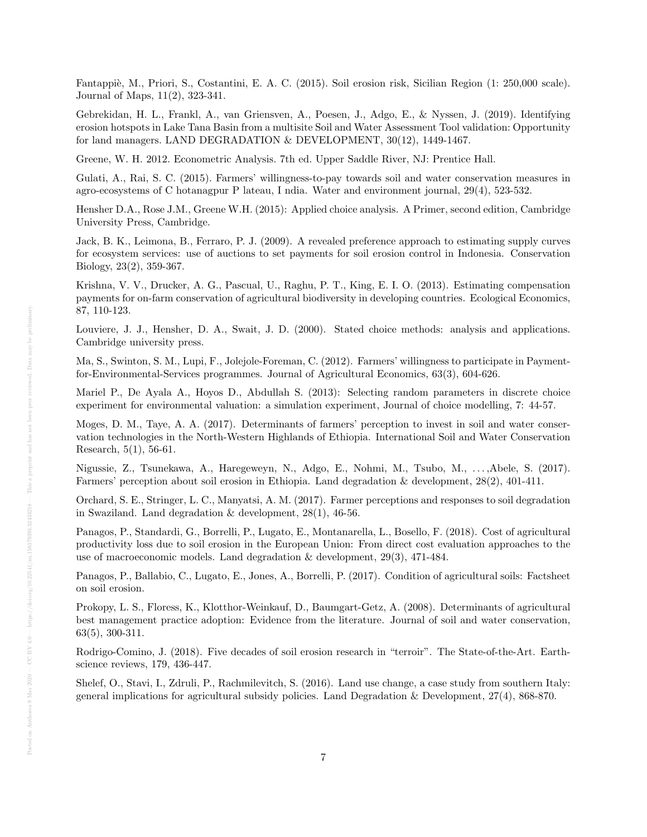Fantappi`e, M., Priori, S., Costantini, E. A. C. (2015). Soil erosion risk, Sicilian Region (1: 250,000 scale). Journal of Maps, 11(2), 323-341.

Gebrekidan, H. L., Frankl, A., van Griensven, A., Poesen, J., Adgo, E., & Nyssen, J. (2019). Identifying erosion hotspots in Lake Tana Basin from a multisite Soil and Water Assessment Tool validation: Opportunity for land managers. LAND DEGRADATION & DEVELOPMENT, 30(12), 1449-1467.

Greene, W. H. 2012. Econometric Analysis. 7th ed. Upper Saddle River, NJ: Prentice Hall.

Gulati, A., Rai, S. C. (2015). Farmers' willingness-to-pay towards soil and water conservation measures in agro-ecosystems of C hotanagpur P lateau, I ndia. Water and environment journal, 29(4), 523-532.

Hensher D.A., Rose J.M., Greene W.H. (2015): Applied choice analysis. A Primer, second edition, Cambridge University Press, Cambridge.

Jack, B. K., Leimona, B., Ferraro, P. J. (2009). A revealed preference approach to estimating supply curves for ecosystem services: use of auctions to set payments for soil erosion control in Indonesia. Conservation Biology, 23(2), 359-367.

Krishna, V. V., Drucker, A. G., Pascual, U., Raghu, P. T., King, E. I. O. (2013). Estimating compensation payments for on-farm conservation of agricultural biodiversity in developing countries. Ecological Economics, 87, 110-123.

Louviere, J. J., Hensher, D. A., Swait, J. D. (2000). Stated choice methods: analysis and applications. Cambridge university press.

Ma, S., Swinton, S. M., Lupi, F., Jolejole-Foreman, C. (2012). Farmers' willingness to participate in Paymentfor-Environmental-Services programmes. Journal of Agricultural Economics, 63(3), 604-626.

Mariel P., De Ayala A., Hoyos D., Abdullah S. (2013): Selecting random parameters in discrete choice experiment for environmental valuation: a simulation experiment, Journal of choice modelling, 7: 44-57.

Moges, D. M., Taye, A. A. (2017). Determinants of farmers' perception to invest in soil and water conservation technologies in the North-Western Highlands of Ethiopia. International Soil and Water Conservation Research, 5(1), 56-61.

Nigussie, Z., Tsunekawa, A., Haregeweyn, N., Adgo, E., Nohmi, M., Tsubo, M., . . . ,Abele, S. (2017). Farmers' perception about soil erosion in Ethiopia. Land degradation & development, 28(2), 401-411.

Orchard, S. E., Stringer, L. C., Manyatsi, A. M. (2017). Farmer perceptions and responses to soil degradation in Swaziland. Land degradation & development, 28(1), 46-56.

Panagos, P., Standardi, G., Borrelli, P., Lugato, E., Montanarella, L., Bosello, F. (2018). Cost of agricultural productivity loss due to soil erosion in the European Union: From direct cost evaluation approaches to the use of macroeconomic models. Land degradation & development, 29(3), 471-484.

Panagos, P., Ballabio, C., Lugato, E., Jones, A., Borrelli, P. (2017). Condition of agricultural soils: Factsheet on soil erosion.

Prokopy, L. S., Floress, K., Klotthor-Weinkauf, D., Baumgart-Getz, A. (2008). Determinants of agricultural best management practice adoption: Evidence from the literature. Journal of soil and water conservation, 63(5), 300-311.

Rodrigo-Comino, J. (2018). Five decades of soil erosion research in "terroir". The State-of-the-Art. Earthscience reviews, 179, 436-447.

Shelef, O., Stavi, I., Zdruli, P., Rachmilevitch, S. (2016). Land use change, a case study from southern Italy: general implications for agricultural subsidy policies. Land Degradation & Development, 27(4), 868-870.